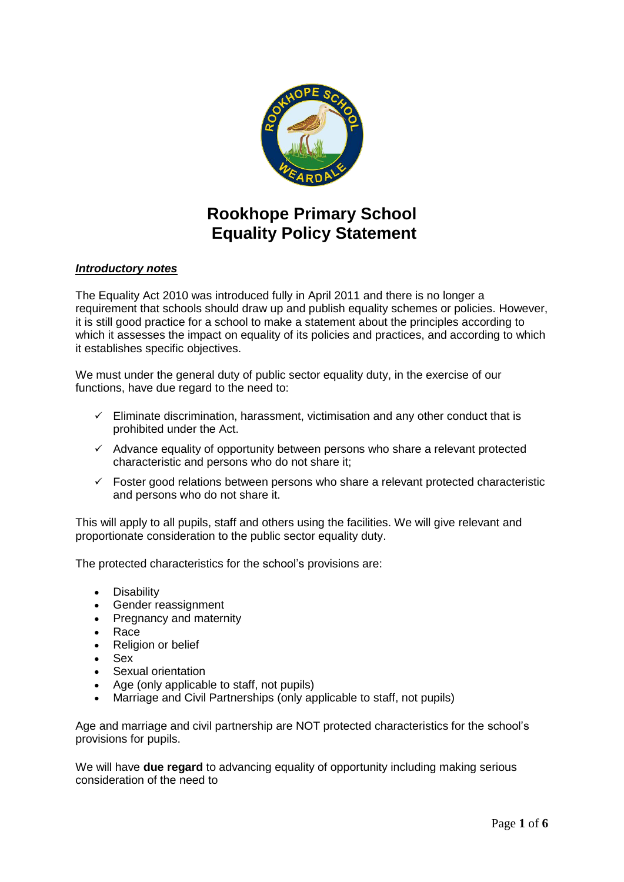

# **Rookhope Primary School Equality Policy Statement**

# *Introductory notes*

The Equality Act 2010 was introduced fully in April 2011 and there is no longer a requirement that schools should draw up and publish equality schemes or policies. However, it is still good practice for a school to make a statement about the principles according to which it assesses the impact on equality of its policies and practices, and according to which it establishes specific objectives.

We must under the general duty of public sector equality duty, in the exercise of our functions, have due regard to the need to:

- $\checkmark$  Eliminate discrimination, harassment, victimisation and any other conduct that is prohibited under the Act.
- $\checkmark$  Advance equality of opportunity between persons who share a relevant protected characteristic and persons who do not share it;
- $\checkmark$  Foster good relations between persons who share a relevant protected characteristic and persons who do not share it.

This will apply to all pupils, staff and others using the facilities. We will give relevant and proportionate consideration to the public sector equality duty.

The protected characteristics for the school's provisions are:

- Disability
- Gender reassignment
- Pregnancy and maternity
- Race
- Religion or belief
- Sex
- Sexual orientation
- Age (only applicable to staff, not pupils)
- Marriage and Civil Partnerships (only applicable to staff, not pupils)

Age and marriage and civil partnership are NOT protected characteristics for the school's provisions for pupils.

We will have **due regard** to advancing equality of opportunity including making serious consideration of the need to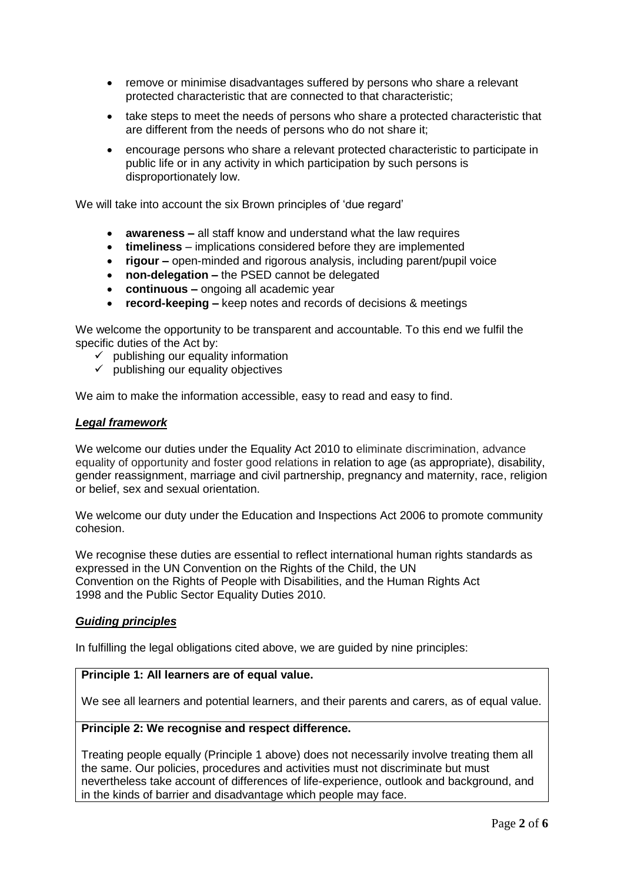- remove or minimise disadvantages suffered by persons who share a relevant protected characteristic that are connected to that characteristic;
- take steps to meet the needs of persons who share a protected characteristic that are different from the needs of persons who do not share it;
- encourage persons who share a relevant protected characteristic to participate in public life or in any activity in which participation by such persons is disproportionately low.

We will take into account the six Brown principles of 'due regard'

- **awareness –** all staff know and understand what the law requires
- **timeliness**  implications considered before they are implemented
- **rigour –** open-minded and rigorous analysis, including parent/pupil voice
- **non-delegation –** the PSED cannot be delegated
- **continuous –** ongoing all academic year
- **record-keeping –** keep notes and records of decisions & meetings

We welcome the opportunity to be transparent and accountable. To this end we fulfil the specific duties of the Act by:

- $\checkmark$  publishing our equality information
- $\checkmark$  publishing our equality objectives

We aim to make the information accessible, easy to read and easy to find.

#### *Legal framework*

We welcome our duties under the Equality Act 2010 to eliminate discrimination, advance equality of opportunity and foster good relations in relation to age (as appropriate), disability, gender reassignment, marriage and civil partnership, pregnancy and maternity, race, religion or belief, sex and sexual orientation.

We welcome our duty under the Education and Inspections Act 2006 to promote community cohesion.

We recognise these duties are essential to reflect international human rights standards as expressed in the UN Convention on the Rights of the Child, the UN Convention on the Rights of People with Disabilities, and the Human Rights Act 1998 and the Public Sector Equality Duties 2010.

#### *Guiding principles*

In fulfilling the legal obligations cited above, we are guided by nine principles:

# **Principle 1: All learners are of equal value.**

We see all learners and potential learners, and their parents and carers, as of equal value.

# **Principle 2: We recognise and respect difference.**

Treating people equally (Principle 1 above) does not necessarily involve treating them all the same. Our policies, procedures and activities must not discriminate but must nevertheless take account of differences of life-experience, outlook and background, and in the kinds of barrier and disadvantage which people may face.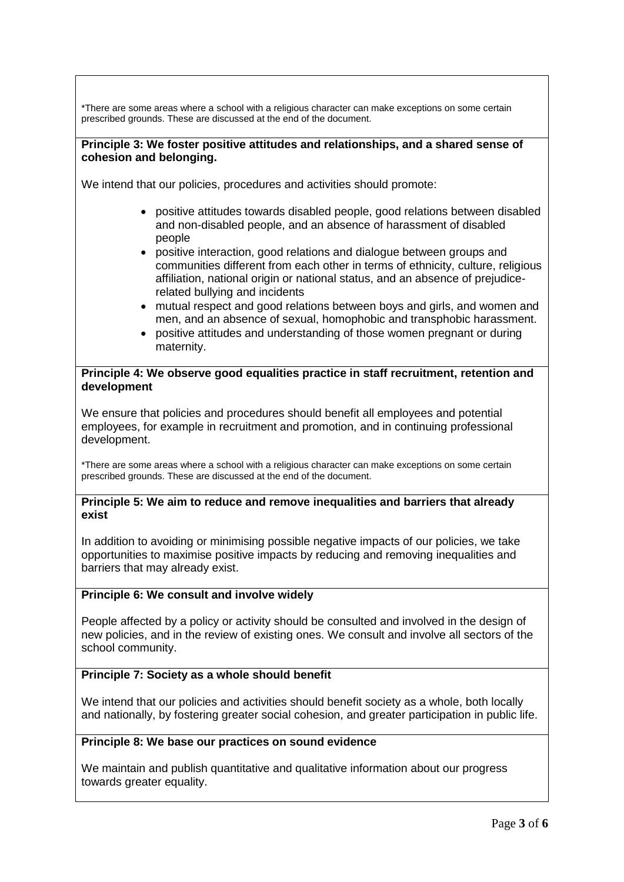\*There are some areas where a school with a religious character can make exceptions on some certain prescribed grounds. These are discussed at the end of the document.

# **Principle 3: We foster positive attitudes and relationships, and a shared sense of cohesion and belonging.**

We intend that our policies, procedures and activities should promote:

- positive attitudes towards disabled people, good relations between disabled and non-disabled people, and an absence of harassment of disabled people
- positive interaction, good relations and dialogue between groups and communities different from each other in terms of ethnicity, culture, religious affiliation, national origin or national status, and an absence of prejudicerelated bullying and incidents
- mutual respect and good relations between boys and girls, and women and men, and an absence of sexual, homophobic and transphobic harassment.
- positive attitudes and understanding of those women pregnant or during maternity.

## **Principle 4: We observe good equalities practice in staff recruitment, retention and development**

We ensure that policies and procedures should benefit all employees and potential employees, for example in recruitment and promotion, and in continuing professional development.

\*There are some areas where a school with a religious character can make exceptions on some certain prescribed grounds. These are discussed at the end of the document.

## **Principle 5: We aim to reduce and remove inequalities and barriers that already exist**

In addition to avoiding or minimising possible negative impacts of our policies, we take opportunities to maximise positive impacts by reducing and removing inequalities and barriers that may already exist.

# **Principle 6: We consult and involve widely**

People affected by a policy or activity should be consulted and involved in the design of new policies, and in the review of existing ones. We consult and involve all sectors of the school community.

# **Principle 7: Society as a whole should benefit**

We intend that our policies and activities should benefit society as a whole, both locally and nationally, by fostering greater social cohesion, and greater participation in public life.

# **Principle 8: We base our practices on sound evidence**

We maintain and publish quantitative and qualitative information about our progress towards greater equality.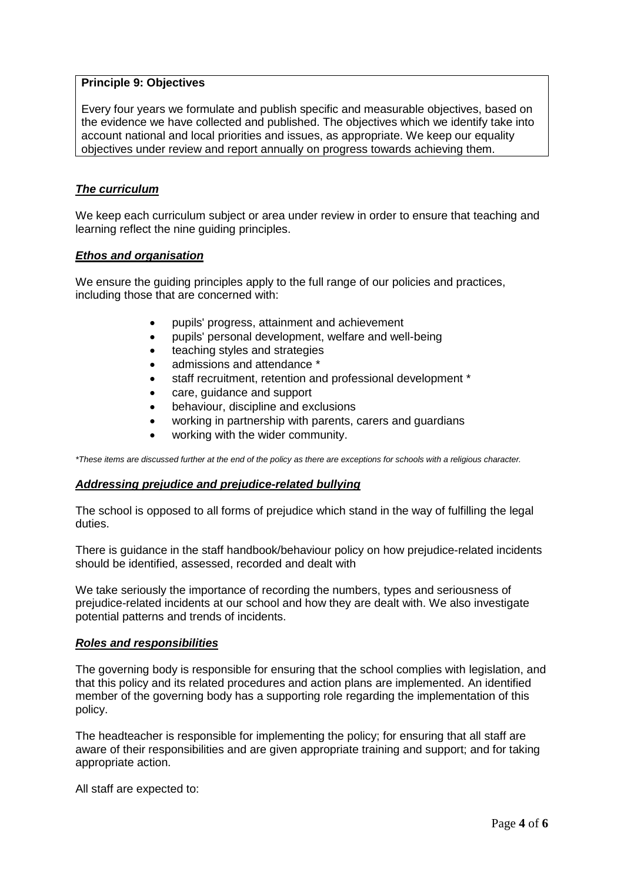## **Principle 9: Objectives**

Every four years we formulate and publish specific and measurable objectives, based on the evidence we have collected and published. The objectives which we identify take into account national and local priorities and issues, as appropriate. We keep our equality objectives under review and report annually on progress towards achieving them.

## *The curriculum*

We keep each curriculum subject or area under review in order to ensure that teaching and learning reflect the nine guiding principles.

## *Ethos and organisation*

We ensure the guiding principles apply to the full range of our policies and practices, including those that are concerned with:

- pupils' progress, attainment and achievement
- pupils' personal development, welfare and well-being
- teaching styles and strategies
- admissions and attendance \*
- staff recruitment, retention and professional development \*
- care, quidance and support
- behaviour, discipline and exclusions
- working in partnership with parents, carers and guardians
- working with the wider community.

*\*These items are discussed further at the end of the policy as there are exceptions for schools with a religious character.*

#### *Addressing prejudice and prejudice-related bullying*

The school is opposed to all forms of prejudice which stand in the way of fulfilling the legal duties.

There is guidance in the staff handbook/behaviour policy on how prejudice-related incidents should be identified, assessed, recorded and dealt with

We take seriously the importance of recording the numbers, types and seriousness of prejudice-related incidents at our school and how they are dealt with. We also investigate potential patterns and trends of incidents.

#### *Roles and responsibilities*

The governing body is responsible for ensuring that the school complies with legislation, and that this policy and its related procedures and action plans are implemented. An identified member of the governing body has a supporting role regarding the implementation of this policy.

The headteacher is responsible for implementing the policy; for ensuring that all staff are aware of their responsibilities and are given appropriate training and support; and for taking appropriate action.

All staff are expected to: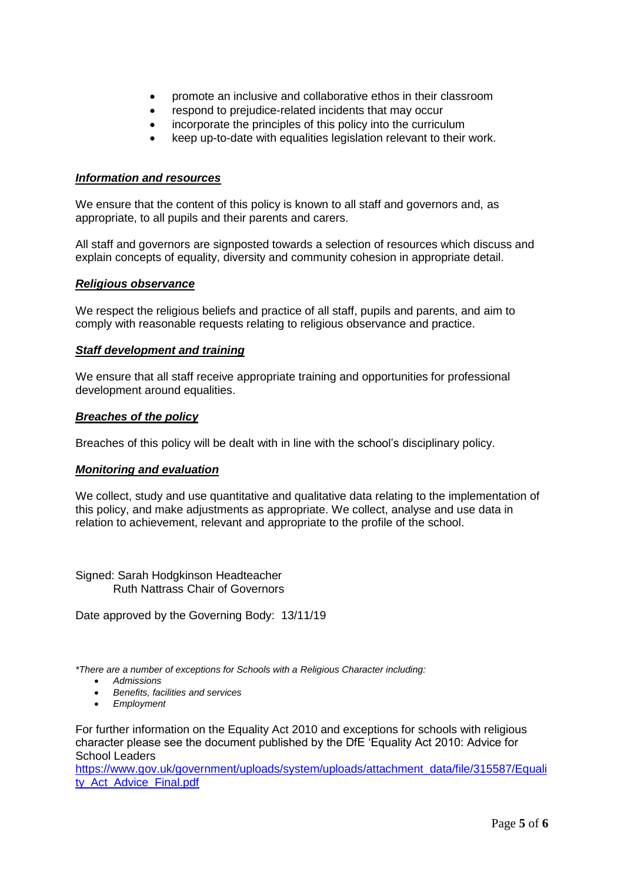- promote an inclusive and collaborative ethos in their classroom
- respond to prejudice-related incidents that may occur
- incorporate the principles of this policy into the curriculum
- keep up-to-date with equalities legislation relevant to their work.

# *Information and resources*

We ensure that the content of this policy is known to all staff and governors and, as appropriate, to all pupils and their parents and carers.

All staff and governors are signposted towards a selection of resources which discuss and explain concepts of equality, diversity and community cohesion in appropriate detail.

#### *Religious observance*

We respect the religious beliefs and practice of all staff, pupils and parents, and aim to comply with reasonable requests relating to religious observance and practice.

## *Staff development and training*

We ensure that all staff receive appropriate training and opportunities for professional development around equalities.

## *Breaches of the policy*

Breaches of this policy will be dealt with in line with the school's disciplinary policy.

#### *Monitoring and evaluation*

We collect, study and use quantitative and qualitative data relating to the implementation of this policy, and make adjustments as appropriate. We collect, analyse and use data in relation to achievement, relevant and appropriate to the profile of the school.

Signed: Sarah Hodgkinson Headteacher Ruth Nattrass Chair of Governors

Date approved by the Governing Body: 13/11/19

*\*There are a number of exceptions for Schools with a Religious Character including:*

- *Admissions*
- *Benefits, facilities and services*
- *Employment*

For further information on the Equality Act 2010 and exceptions for schools with religious character please see the document published by the DfE 'Equality Act 2010: Advice for School Leaders

[https://www.gov.uk/government/uploads/system/uploads/attachment\\_data/file/315587/Equali](https://www.gov.uk/government/uploads/system/uploads/attachment_data/file/315587/Equality_Act_Advice_Final.pdf) [ty\\_Act\\_Advice\\_Final.pdf](https://www.gov.uk/government/uploads/system/uploads/attachment_data/file/315587/Equality_Act_Advice_Final.pdf)